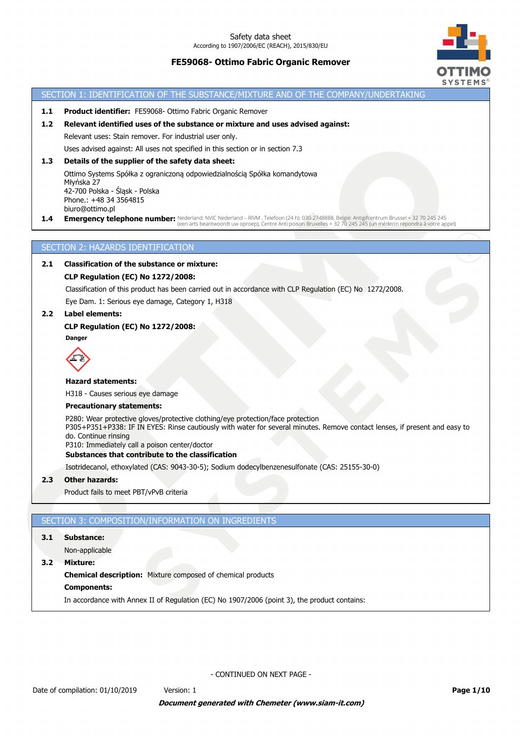# **FE59068- Ottimo Fabric Organic Remover**



### SECTION 1: IDENTIFICATION OF THE SUBSTANCE/MIXTURE AND OF THE COMPANY/UNDERTAKING

**1.1 Product identifier:** FE59068- Ottimo Fabric Organic Remover

# **1.2 Relevant identified uses of the substance or mixture and uses advised against:**

Relevant uses: Stain remover. For industrial user only.

Uses advised against: All uses not specified in this section or in section 7.3

### **1.3 Details of the supplier of the safety data sheet:**

Ottimo Systems Spółka z ograniczoną odpowiedzialnością Spółka komandytowa Młyńska 27 42-700 Polska - Śląsk - Polska Phone.: +48 34 3564815 biuro@ottimo.pl

1.4 **Emergency telephone number:** Nederland: NVIC Nederland – RIVM , Telefoon (24 h): 030-2748888, België: Antigifcentrum Brussel + 32 70 245 245<br>(een arts beantwoordt uw oproep), Centre Anti poison Bruxelles + 32 70 245 2

## SECTION 2: HAZARDS IDENTIFICATION

# **2.1 Classification of the substance or mixture:**

## **CLP Regulation (EC) No 1272/2008:**

Classification of this product has been carried out in accordance with CLP Regulation (EC) No 1272/2008. Eye Dam. 1: Serious eye damage, Category 1, H318

# **2.2 Label elements:**

# **CLP Regulation (EC) No 1272/2008:**

**Danger**



#### **Hazard statements:**

H318 - Causes serious eye damage

#### **Precautionary statements:**

P280: Wear protective gloves/protective clothing/eye protection/face protection P305+P351+P338: IF IN EYES: Rinse cautiously with water for several minutes. Remove contact lenses, if present and easy to

do. Continue rinsing

P310: Immediately call a poison center/doctor

## **Substances that contribute to the classification**

Isotridecanol, ethoxylated (CAS: 9043-30-5); Sodium dodecylbenzenesulfonate (CAS: 25155-30-0)

#### **2.3 Other hazards:**

Product fails to meet PBT/vPvB criteria

### SECTION 3: COMPOSITION/INFORMATION ON INGREDIENTS

#### **3.1 Substance:**

Non-applicable

**3.2 Mixture:**

**Chemical description:** Mixture composed of chemical products

#### **Components:**

In accordance with Annex II of Regulation (EC) No 1907/2006 (point 3), the product contains: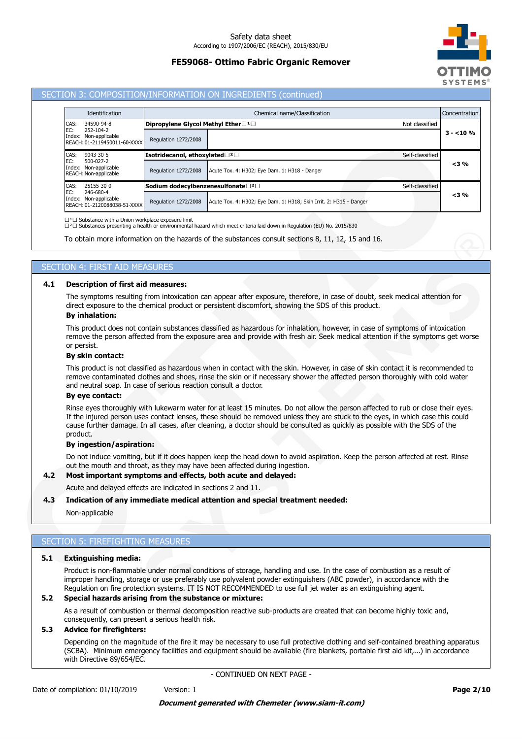# **FE59068- Ottimo Fabric Organic Remover**



### SECTION 3: COMPOSITION/INFORMATION ON INGREDIENTS (continued)

| <b>Identification</b>                                                     |                                                               | Chemical name/Classification                                       |                 |           |  |
|---------------------------------------------------------------------------|---------------------------------------------------------------|--------------------------------------------------------------------|-----------------|-----------|--|
| CAS:<br>34590-94-8                                                        | Dipropylene Glycol Methyl Ether□ <sup>1</sup> □               |                                                                    | Not classified  |           |  |
| EC:<br>252-104-2<br>Index: Non-applicable<br>REACH: 01-2119450011-60-XXXX | Regulation 1272/2008                                          |                                                                    |                 | $3 - 10%$ |  |
| CAS:<br>$9043 - 30 - 5$                                                   | Isotridecanol, ethoxylated□ <sup>2</sup> □<br>Self-classified |                                                                    |                 |           |  |
| EC:<br>$500 - 027 - 2$<br>Index: Non-applicable<br>REACH: Non-applicable  | Regulation 1272/2008                                          | Acute Tox. 4: H302; Eye Dam. 1: H318 - Danger                      |                 | $<$ 3 %   |  |
| 25155-30-0<br>CAS:                                                        | Sodium dodecylbenzenesulfonate□2□                             |                                                                    | Self-classified |           |  |
| EC:<br>246-680-4<br>Index: Non-applicable<br>REACH: 01-2120088038-51-XXXX | Regulation 1272/2008                                          | Acute Tox. 4: H302; Eye Dam. 1: H318; Skin Irrit. 2: H315 - Danger |                 | $<$ 3 %   |  |

 $\square$ <sup>1</sup> $\square$  Substance with a Union workplace exposure limit

⁽²⁽ Substances presenting a health or environmental hazard which meet criteria laid down in Regulation (EU) No. 2015/830

To obtain more information on the hazards of the substances consult sections 8, 11, 12, 15 and 16.

# SECTION 4: FIRST AID MEASURES

## **4.1 Description of first aid measures:**

The symptoms resulting from intoxication can appear after exposure, therefore, in case of doubt, seek medical attention for direct exposure to the chemical product or persistent discomfort, showing the SDS of this product.

### **By inhalation:**

This product does not contain substances classified as hazardous for inhalation, however, in case of symptoms of intoxication remove the person affected from the exposure area and provide with fresh air. Seek medical attention if the symptoms get worse or persist.

### **By skin contact:**

This product is not classified as hazardous when in contact with the skin. However, in case of skin contact it is recommended to remove contaminated clothes and shoes, rinse the skin or if necessary shower the affected person thoroughly with cold water and neutral soap. In case of serious reaction consult a doctor.

#### **By eye contact:**

Rinse eyes thoroughly with lukewarm water for at least 15 minutes. Do not allow the person affected to rub or close their eyes. If the injured person uses contact lenses, these should be removed unless they are stuck to the eyes, in which case this could cause further damage. In all cases, after cleaning, a doctor should be consulted as quickly as possible with the SDS of the product.

#### **By ingestion/aspiration:**

Do not induce vomiting, but if it does happen keep the head down to avoid aspiration. Keep the person affected at rest. Rinse out the mouth and throat, as they may have been affected during ingestion.

# **4.2 Most important symptoms and effects, both acute and delayed:**

Acute and delayed effects are indicated in sections 2 and 11.

#### **4.3 Indication of any immediate medical attention and special treatment needed:**

Non-applicable

### SECTION 5: FIREFIGHTING MEASURES

## **5.1 Extinguishing media:**

Product is non-flammable under normal conditions of storage, handling and use. In the case of combustion as a result of improper handling, storage or use preferably use polyvalent powder extinguishers (ABC powder), in accordance with the Regulation on fire protection systems. IT IS NOT RECOMMENDED to use full jet water as an extinguishing agent.

#### **5.2 Special hazards arising from the substance or mixture:**

As a result of combustion or thermal decomposition reactive sub-products are created that can become highly toxic and, consequently, can present a serious health risk.

## **5.3 Advice for firefighters:**

Depending on the magnitude of the fire it may be necessary to use full protective clothing and self-contained breathing apparatus (SCBA). Minimum emergency facilities and equipment should be available (fire blankets, portable first aid kit,...) in accordance with Directive 89/654/EC.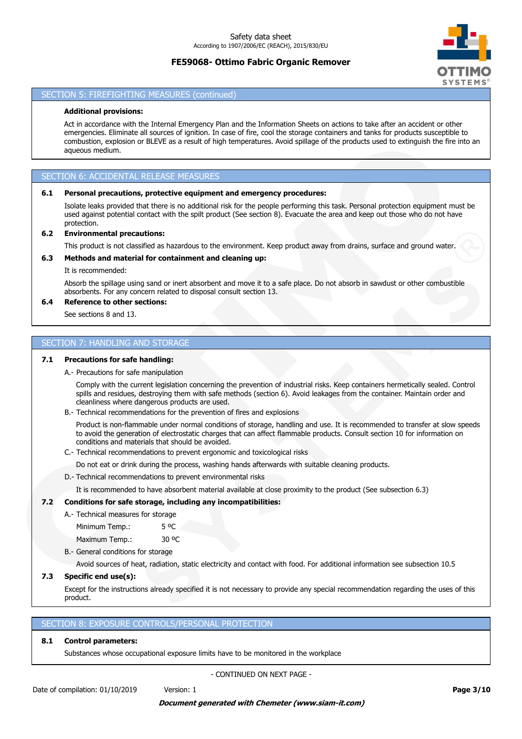# **FE59068- Ottimo Fabric Organic Remover**



## SECTION 5: FIREFIGHTING MEASURES (continued)

## **Additional provisions:**

Act in accordance with the Internal Emergency Plan and the Information Sheets on actions to take after an accident or other emergencies. Eliminate all sources of ignition. In case of fire, cool the storage containers and tanks for products susceptible to combustion, explosion or BLEVE as a result of high temperatures. Avoid spillage of the products used to extinguish the fire into an aqueous medium.

# SECTION 6: ACCIDENTAL RELEASE MEASURES

#### **6.1 Personal precautions, protective equipment and emergency procedures:**

Isolate leaks provided that there is no additional risk for the people performing this task. Personal protection equipment must be used against potential contact with the spilt product (See section 8). Evacuate the area and keep out those who do not have protection.

#### **6.2 Environmental precautions:**

This product is not classified as hazardous to the environment. Keep product away from drains, surface and ground water.

# **6.3 Methods and material for containment and cleaning up:**

It is recommended:

Absorb the spillage using sand or inert absorbent and move it to a safe place. Do not absorb in sawdust or other combustible absorbents. For any concern related to disposal consult section 13.

# **6.4 Reference to other sections:**

See sections 8 and 13.

# SECTION 7: HANDLING AND STORAGE

#### **7.1 Precautions for safe handling:**

A.- Precautions for safe manipulation

Comply with the current legislation concerning the prevention of industrial risks. Keep containers hermetically sealed. Control spills and residues, destroying them with safe methods (section 6). Avoid leakages from the container. Maintain order and cleanliness where dangerous products are used.

B.- Technical recommendations for the prevention of fires and explosions

Product is non-flammable under normal conditions of storage, handling and use. It is recommended to transfer at slow speeds to avoid the generation of electrostatic charges that can affect flammable products. Consult section 10 for information on conditions and materials that should be avoided.

C.- Technical recommendations to prevent ergonomic and toxicological risks

Do not eat or drink during the process, washing hands afterwards with suitable cleaning products.

D.- Technical recommendations to prevent environmental risks

It is recommended to have absorbent material available at close proximity to the product (See subsection 6.3)

### **7.2 Conditions for safe storage, including any incompatibilities:**

A.- Technical measures for storage

Minimum Temp.: 5 °C

Maximum Temp.: 30 °C

B.- General conditions for storage

Avoid sources of heat, radiation, static electricity and contact with food. For additional information see subsection 10.5

#### **7.3 Specific end use(s):**

Except for the instructions already specified it is not necessary to provide any special recommendation regarding the uses of this product.

### SECTION 8: EXPOSURE CONTROLS/PERSONAL PROTECTION

# **8.1 Control parameters:**

Substances whose occupational exposure limits have to be monitored in the workplace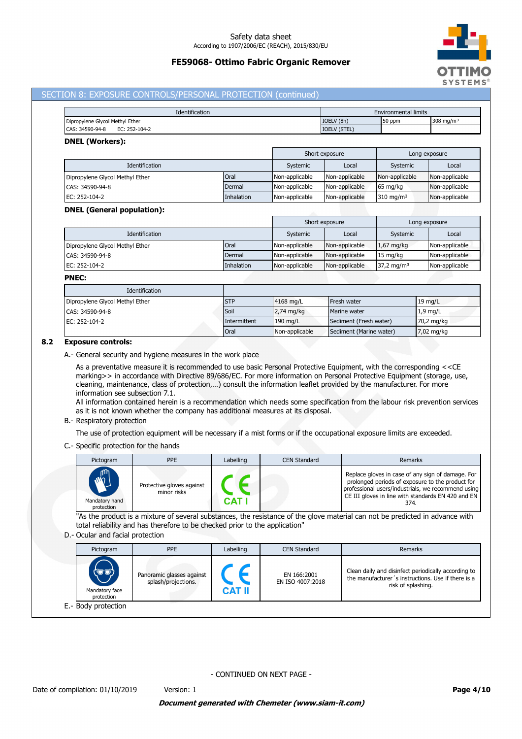# **FE59068- Ottimo Fabric Organic Remover**



## SECTION 8: EXPOSURE CONTROLS/PERSONAL PROTECTION (continued)

| <b>Identification</b>            | <b>Environmental limits</b> |        |              |
|----------------------------------|-----------------------------|--------|--------------|
| Dipropylene Glycol Methyl Ether  | IOELV (8h)                  | 50 ppm | 308 mg/m $3$ |
| CAS: 34590-94-8<br>EC: 252-104-2 | <b>IOELV (STEL)</b>         |        |              |

### **DNEL (Workers):**

|                                 |            |                | Short exposure |                      | Long exposure  |
|---------------------------------|------------|----------------|----------------|----------------------|----------------|
| <b>Identification</b>           |            | Systemic       | Local          | Systemic             | Local          |
| Dipropylene Glycol Methyl Ether | Oral       | Non-applicable | Non-applicable | Non-applicable       | Non-applicable |
| CAS: 34590-94-8                 | Dermal     | Non-applicable | Non-applicable | $65 \text{ mg/kg}$   | Non-applicable |
| EC: 252-104-2                   | Inhalation | Non-applicable | Non-applicable | $310 \text{ mg/m}^3$ | Non-applicable |

#### **DNEL (General population):**

|                                 |            |                | Short exposure |                       | Long exposure  |
|---------------------------------|------------|----------------|----------------|-----------------------|----------------|
| Identification                  |            | Systemic       | Local          | Systemic              | Local          |
| Dipropylene Glycol Methyl Ether | Oral       | Non-applicable | Non-applicable | $1,67$ mg/kg          | Non-applicable |
| CAS: 34590-94-8                 | Dermal     | Non-applicable | Non-applicable | $15 \text{ mg/kg}$    | Non-applicable |
| EC: 252-104-2                   | Inhalation | Non-applicable | Non-applicable | $37,2 \text{ mg/m}^3$ | Non-applicable |

#### **PNEC:**

| <b>Identification</b>           |              |                |                         |                      |
|---------------------------------|--------------|----------------|-------------------------|----------------------|
| Dipropylene Glycol Methyl Ether | <b>STP</b>   | 4168 mg/L      | Fresh water             | $19 \text{ mg/L}$    |
| CAS: 34590-94-8                 | Soil         | $2,74$ mg/kg   | Marine water            | $1.9$ mg/L           |
| EC: 252-104-2                   | Intermittent | 190 mg/L       | Sediment (Fresh water)  | 70,2 mg/kg           |
|                                 | Oral         | Non-applicable | Sediment (Marine water) | $7,02 \text{ mg/kg}$ |

### **8.2 Exposure controls:**

A.- General security and hygiene measures in the work place

As a preventative measure it is recommended to use basic Personal Protective Equipment, with the corresponding <<CE marking>> in accordance with Directive 89/686/EC. For more information on Personal Protective Equipment (storage, use, cleaning, maintenance, class of protection,…) consult the information leaflet provided by the manufacturer. For more information see subsection 7.1.

All information contained herein is a recommendation which needs some specification from the labour risk prevention services as it is not known whether the company has additional measures at its disposal.

#### B.- Respiratory protection

The use of protection equipment will be necessary if a mist forms or if the occupational exposure limits are exceeded.

## C.- Specific protection for the hands

| Pictogram                                                      | <b>PPE</b>                               | Labelling | <b>CEN Standard</b> | Remarks                                                                                                                                                                                                                   |
|----------------------------------------------------------------|------------------------------------------|-----------|---------------------|---------------------------------------------------------------------------------------------------------------------------------------------------------------------------------------------------------------------------|
| ηm <sub>ι</sub><br>$\tilde{w}$<br>Mandatory hand<br>protection | Protective gloves against<br>minor risks | CAT       |                     | Replace gloves in case of any sign of damage. For<br>prolonged periods of exposure to the product for<br>professional users/industrials, we recommend using<br>CE III gloves in line with standards EN 420 and EN<br>374. |

"As the product is a mixture of several substances, the resistance of the glove material can not be predicted in advance with total reliability and has therefore to be checked prior to the application"

### D.- Ocular and facial protection

| Pictogram                             | <b>PPE</b>                                       | Labelling     | <b>CEN Standard</b>             | Remarks                                                                                                                         |
|---------------------------------------|--------------------------------------------------|---------------|---------------------------------|---------------------------------------------------------------------------------------------------------------------------------|
| (کی ک<br>Mandatory face<br>protection | Panoramic glasses against<br>splash/projections. | <b>CAT II</b> | EN 166:2001<br>EN ISO 4007:2018 | Clean daily and disinfect periodically according to<br>the manufacturer's instructions. Use if there is a<br>risk of splashing. |
| E.- Body protection                   |                                                  |               |                                 |                                                                                                                                 |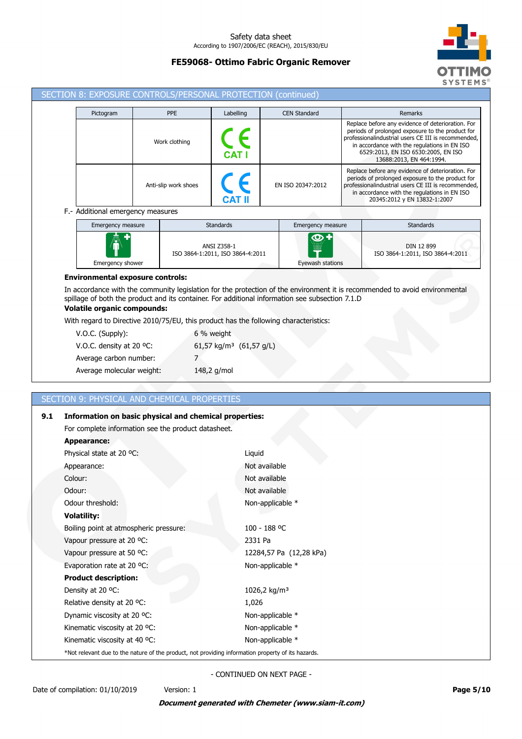# **FE59068- Ottimo Fabric Organic Remover**



| SECTION 8: EXPOSURE CONTROLS/PERSONAL PROTECTION (continued) |                                                                                                    |                                                                                                                      |                                                   |                                                                                                 |                                                                                                                                                                                                                                                                                 |  |
|--------------------------------------------------------------|----------------------------------------------------------------------------------------------------|----------------------------------------------------------------------------------------------------------------------|---------------------------------------------------|-------------------------------------------------------------------------------------------------|---------------------------------------------------------------------------------------------------------------------------------------------------------------------------------------------------------------------------------------------------------------------------------|--|
|                                                              | Pictogram                                                                                          | <b>PPE</b>                                                                                                           | Labelling                                         | <b>CEN Standard</b>                                                                             | Remarks                                                                                                                                                                                                                                                                         |  |
|                                                              |                                                                                                    | Work clothing                                                                                                        |                                                   |                                                                                                 | Replace before any evidence of deterioration. For<br>periods of prolonged exposure to the product for<br>professionalindustrial users CE III is recommended,<br>in accordance with the regulations in EN ISO<br>6529:2013, EN ISO 6530:2005, EN ISO<br>13688:2013, EN 464:1994. |  |
|                                                              |                                                                                                    | Anti-slip work shoes                                                                                                 |                                                   | EN ISO 20347:2012                                                                               | Replace before any evidence of deterioration. For<br>periods of prolonged exposure to the product for<br>professionalindustrial users CE III is recommended,<br>in accordance with the regulations in EN ISO<br>20345:2012 y EN 13832-1:2007                                    |  |
|                                                              | F.- Additional emergency measures                                                                  |                                                                                                                      |                                                   |                                                                                                 |                                                                                                                                                                                                                                                                                 |  |
|                                                              | Emergency measure                                                                                  |                                                                                                                      | <b>Standards</b>                                  | Emergency measure                                                                               | <b>Standards</b>                                                                                                                                                                                                                                                                |  |
|                                                              | <b>Emergency shower</b>                                                                            |                                                                                                                      | ANSI Z358-1<br>ISO 3864-1:2011, ISO 3864-4:2011   | Eyewash stations                                                                                | DIN 12 899<br>ISO 3864-1:2011, ISO 3864-4:2011                                                                                                                                                                                                                                  |  |
|                                                              | <b>Environmental exposure controls:</b>                                                            |                                                                                                                      |                                                   |                                                                                                 |                                                                                                                                                                                                                                                                                 |  |
|                                                              | <b>Volatile organic compounds:</b>                                                                 |                                                                                                                      |                                                   | spillage of both the product and its container. For additional information see subsection 7.1.D | In accordance with the community legislation for the protection of the environment it is recommended to avoid environmental                                                                                                                                                     |  |
|                                                              |                                                                                                    | With regard to Directive 2010/75/EU, this product has the following characteristics:                                 |                                                   |                                                                                                 |                                                                                                                                                                                                                                                                                 |  |
|                                                              | V.O.C. (Supply):<br>V.O.C. density at 20 °C:                                                       |                                                                                                                      | 6 % weight<br>61,57 kg/m <sup>3</sup> (61,57 g/L) |                                                                                                 |                                                                                                                                                                                                                                                                                 |  |
|                                                              | Average carbon number:                                                                             | 7                                                                                                                    |                                                   |                                                                                                 |                                                                                                                                                                                                                                                                                 |  |
|                                                              | Average molecular weight:                                                                          |                                                                                                                      | 148,2 g/mol                                       |                                                                                                 |                                                                                                                                                                                                                                                                                 |  |
|                                                              |                                                                                                    |                                                                                                                      |                                                   |                                                                                                 |                                                                                                                                                                                                                                                                                 |  |
|                                                              |                                                                                                    | <b>SECTION 9: PHYSICAL AND CHEMICAL PROPERTIES</b>                                                                   |                                                   |                                                                                                 |                                                                                                                                                                                                                                                                                 |  |
| 9.1                                                          |                                                                                                    |                                                                                                                      |                                                   |                                                                                                 |                                                                                                                                                                                                                                                                                 |  |
|                                                              |                                                                                                    | <b>Information on basic physical and chemical properties:</b><br>For complete information see the product datasheet. |                                                   |                                                                                                 |                                                                                                                                                                                                                                                                                 |  |
|                                                              | <b>Appearance:</b>                                                                                 |                                                                                                                      |                                                   |                                                                                                 |                                                                                                                                                                                                                                                                                 |  |
|                                                              | Physical state at 20 °C:                                                                           |                                                                                                                      | Liquid                                            |                                                                                                 |                                                                                                                                                                                                                                                                                 |  |
|                                                              | Appearance:                                                                                        |                                                                                                                      |                                                   | Not available                                                                                   |                                                                                                                                                                                                                                                                                 |  |
|                                                              | Colour:                                                                                            |                                                                                                                      |                                                   | Not available                                                                                   |                                                                                                                                                                                                                                                                                 |  |
|                                                              | Odour:                                                                                             |                                                                                                                      |                                                   | Not available                                                                                   |                                                                                                                                                                                                                                                                                 |  |
|                                                              | Odour threshold:                                                                                   |                                                                                                                      |                                                   | Non-applicable *                                                                                |                                                                                                                                                                                                                                                                                 |  |
|                                                              | <b>Volatility:</b>                                                                                 |                                                                                                                      |                                                   |                                                                                                 |                                                                                                                                                                                                                                                                                 |  |
|                                                              | Boiling point at atmospheric pressure:                                                             |                                                                                                                      |                                                   | 100 - 188 °C                                                                                    |                                                                                                                                                                                                                                                                                 |  |
|                                                              | Vapour pressure at 20 °C:                                                                          |                                                                                                                      | 2331 Pa                                           |                                                                                                 |                                                                                                                                                                                                                                                                                 |  |
|                                                              | Vapour pressure at 50 °C:                                                                          |                                                                                                                      |                                                   | 12284,57 Pa (12,28 kPa)                                                                         |                                                                                                                                                                                                                                                                                 |  |
|                                                              | Evaporation rate at 20 °C:                                                                         |                                                                                                                      |                                                   | Non-applicable *                                                                                |                                                                                                                                                                                                                                                                                 |  |
|                                                              | <b>Product description:</b>                                                                        |                                                                                                                      |                                                   |                                                                                                 |                                                                                                                                                                                                                                                                                 |  |
|                                                              | Density at 20 °C:                                                                                  |                                                                                                                      |                                                   | 1026,2 kg/m <sup>3</sup>                                                                        |                                                                                                                                                                                                                                                                                 |  |
|                                                              | Relative density at 20 °C:                                                                         |                                                                                                                      | 1,026                                             |                                                                                                 |                                                                                                                                                                                                                                                                                 |  |
|                                                              | Dynamic viscosity at 20 °C:                                                                        |                                                                                                                      |                                                   | Non-applicable *                                                                                |                                                                                                                                                                                                                                                                                 |  |
|                                                              | Kinematic viscosity at 20 °C:                                                                      |                                                                                                                      |                                                   | Non-applicable *                                                                                |                                                                                                                                                                                                                                                                                 |  |
|                                                              | Kinematic viscosity at 40 °C:                                                                      |                                                                                                                      |                                                   | Non-applicable *                                                                                |                                                                                                                                                                                                                                                                                 |  |
|                                                              | *Not relevant due to the nature of the product, not providing information property of its hazards. |                                                                                                                      |                                                   |                                                                                                 |                                                                                                                                                                                                                                                                                 |  |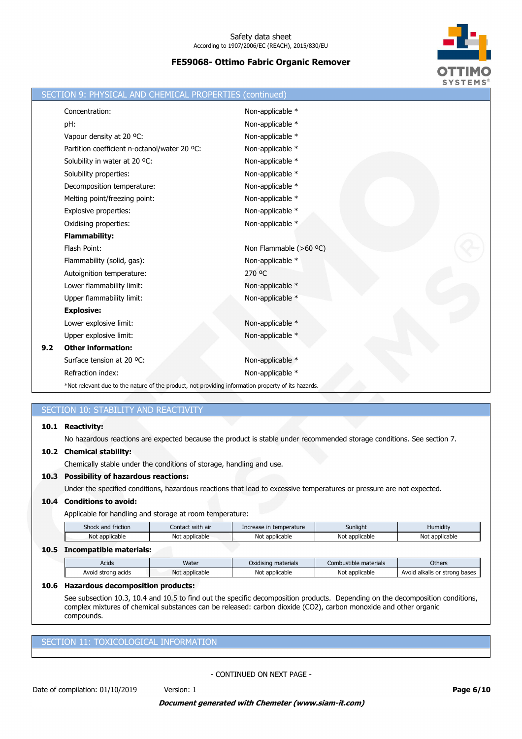

|     | SECTION 9: PHYSICAL AND CHEMICAL PROPERTIES                                                        | (continued)                                                                                                            |
|-----|----------------------------------------------------------------------------------------------------|------------------------------------------------------------------------------------------------------------------------|
|     | Concentration:                                                                                     | Non-applicable *                                                                                                       |
|     | pH:                                                                                                | Non-applicable *                                                                                                       |
|     | Vapour density at 20 °C:                                                                           | Non-applicable *                                                                                                       |
|     | Partition coefficient n-octanol/water 20 °C:                                                       | Non-applicable *                                                                                                       |
|     | Solubility in water at 20 °C:                                                                      | Non-applicable *                                                                                                       |
|     | Solubility properties:                                                                             | Non-applicable *                                                                                                       |
|     | Decomposition temperature:                                                                         | Non-applicable *                                                                                                       |
|     | Melting point/freezing point:                                                                      | Non-applicable *                                                                                                       |
|     | Explosive properties:                                                                              | Non-applicable *                                                                                                       |
|     | Oxidising properties:                                                                              | Non-applicable *                                                                                                       |
|     | <b>Flammability:</b>                                                                               |                                                                                                                        |
|     | Flash Point:                                                                                       | Non Flammable (>60 °C)                                                                                                 |
|     | Flammability (solid, gas):                                                                         | Non-applicable *                                                                                                       |
|     | Autoignition temperature:                                                                          | 270 °C                                                                                                                 |
|     | Lower flammability limit:                                                                          | Non-applicable *                                                                                                       |
|     | Upper flammability limit:                                                                          | Non-applicable *                                                                                                       |
|     | <b>Explosive:</b>                                                                                  |                                                                                                                        |
|     | Lower explosive limit:                                                                             | Non-applicable *                                                                                                       |
|     | Upper explosive limit:                                                                             | Non-applicable *                                                                                                       |
| 9.2 | <b>Other information:</b>                                                                          |                                                                                                                        |
|     | Surface tension at 20 °C:                                                                          | Non-applicable *                                                                                                       |
|     | Refraction index:                                                                                  | Non-applicable *                                                                                                       |
|     | *Not relevant due to the nature of the product, not providing information property of its hazards. |                                                                                                                        |
|     |                                                                                                    |                                                                                                                        |
|     | SECTION 10: STABILITY AND REACTIVITY                                                               |                                                                                                                        |
|     | 10.1 Reactivity:                                                                                   |                                                                                                                        |
|     |                                                                                                    | No hazardous reactions are expected because the product is stable under recommended storage conditions. See section 7. |
|     | 10.2 Chemical stability:                                                                           |                                                                                                                        |
|     | Chemically stable under the conditions of storage, handling and use.                               |                                                                                                                        |
|     | 10.3 Possibility of hazardous reactions:                                                           |                                                                                                                        |
|     |                                                                                                    | Under the specified conditions, hazardous reactions that lead to excessive temperatures or pressure are not expected.  |

## **10.4 Conditions to avoid:**

Applicable for handling and storage at room temperature:

| Shock and friction | Contact with air | Increase in temperature | Sunliaht       | Humidity       |
|--------------------|------------------|-------------------------|----------------|----------------|
| Not applicable     | Not applicable   | Not applicable          | Not applicable | Not applicable |
|                    |                  |                         |                |                |

# **10.5 Incompatible materials:**

| Acids              | Water                | Oxidising materials | Combustible materials | <b>Others</b>                      |
|--------------------|----------------------|---------------------|-----------------------|------------------------------------|
| Avoid strong acids | t applicable<br>Not. | Not<br>: applicable | Not applicable        | d alkalis or strong bases<br>Avoid |
|                    |                      |                     |                       |                                    |

### **10.6 Hazardous decomposition products:**

See subsection 10.3, 10.4 and 10.5 to find out the specific decomposition products. Depending on the decomposition conditions, complex mixtures of chemical substances can be released: carbon dioxide (CO2), carbon monoxide and other organic compounds.

# SECTION 11: TOXICOLOGICAL INFORMATION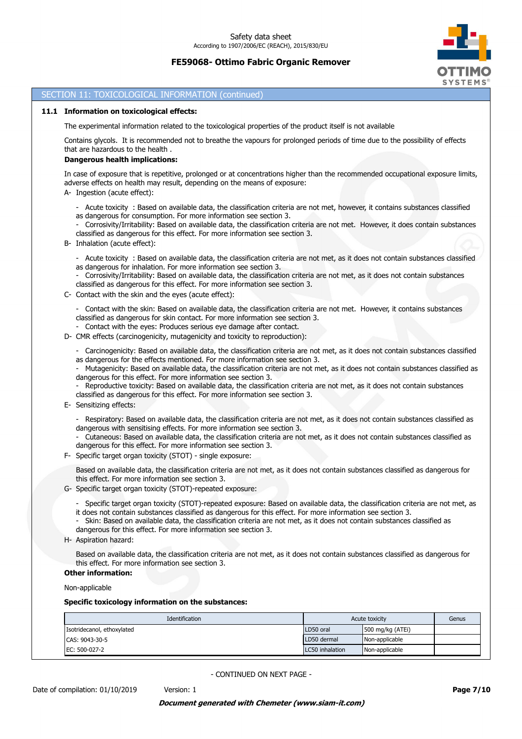

## SECTION 11: TOXICOLOGICAL INFORMATION (continued)

#### **11.1 Information on toxicological effects:**

The experimental information related to the toxicological properties of the product itself is not available

Contains glycols. It is recommended not to breathe the vapours for prolonged periods of time due to the possibility of effects that are hazardous to the health .

#### **Dangerous health implications:**

In case of exposure that is repetitive, prolonged or at concentrations higher than the recommended occupational exposure limits, adverse effects on health may result, depending on the means of exposure:

- A- Ingestion (acute effect):
	- Acute toxicity : Based on available data, the classification criteria are not met, however, it contains substances classified as dangerous for consumption. For more information see section 3.

- Corrosivity/Irritability: Based on available data, the classification criteria are not met. However, it does contain substances classified as dangerous for this effect. For more information see section 3.

- B- Inhalation (acute effect):
	- Acute toxicity : Based on available data, the classification criteria are not met, as it does not contain substances classified as dangerous for inhalation. For more information see section 3.
	- Corrosivity/Irritability: Based on available data, the classification criteria are not met, as it does not contain substances classified as dangerous for this effect. For more information see section 3.
- C- Contact with the skin and the eyes (acute effect):

- Contact with the skin: Based on available data, the classification criteria are not met. However, it contains substances classified as dangerous for skin contact. For more information see section 3.

- Contact with the eyes: Produces serious eye damage after contact.
- D- CMR effects (carcinogenicity, mutagenicity and toxicity to reproduction):
	- Carcinogenicity: Based on available data, the classification criteria are not met, as it does not contain substances classified as dangerous for the effects mentioned. For more information see section 3.

- Mutagenicity: Based on available data, the classification criteria are not met, as it does not contain substances classified as dangerous for this effect. For more information see section 3.

Reproductive toxicity: Based on available data, the classification criteria are not met, as it does not contain substances classified as dangerous for this effect. For more information see section 3.

- E- Sensitizing effects:
	- Respiratory: Based on available data, the classification criteria are not met, as it does not contain substances classified as dangerous with sensitising effects. For more information see section 3.
	- Cutaneous: Based on available data, the classification criteria are not met, as it does not contain substances classified as dangerous for this effect. For more information see section 3.
- F- Specific target organ toxicity (STOT) single exposure:

Based on available data, the classification criteria are not met, as it does not contain substances classified as dangerous for this effect. For more information see section 3.

- G- Specific target organ toxicity (STOT)-repeated exposure:
	- Specific target organ toxicity (STOT)-repeated exposure: Based on available data, the classification criteria are not met, as it does not contain substances classified as dangerous for this effect. For more information see section 3.
	- Skin: Based on available data, the classification criteria are not met, as it does not contain substances classified as dangerous for this effect. For more information see section 3.
- H- Aspiration hazard:

Based on available data, the classification criteria are not met, as it does not contain substances classified as dangerous for this effect. For more information see section 3.

# **Other information:**

Non-applicable

## **Specific toxicology information on the substances:**

| Identification             | Acute toxicity  | Genus              |  |
|----------------------------|-----------------|--------------------|--|
| Isotridecanol, ethoxylated | LD50 oral       | 500 mg/kg $(ATEi)$ |  |
| CAS: 9043-30-5             | LD50 dermal     | Non-applicable     |  |
| EC: 500-027-2              | LC50 inhalation | Non-applicable     |  |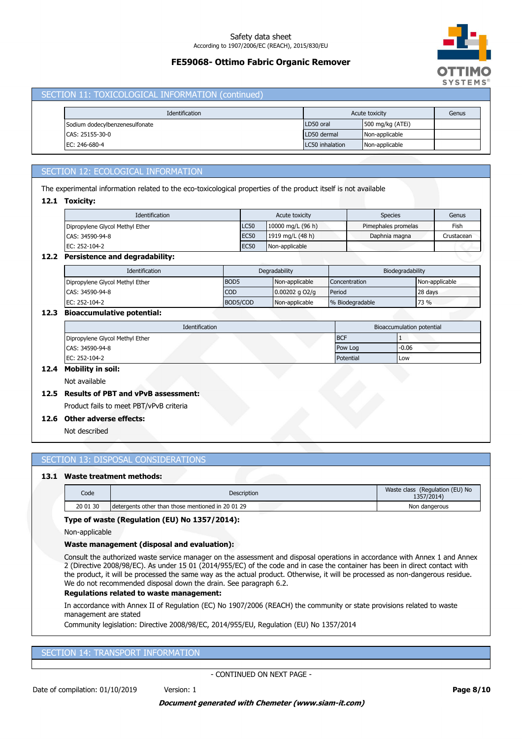# **FE59068- Ottimo Fabric Organic Remover**



### SECTION 11: TOXICOLOGICAL INFORMATION (continued)

| Identification                 | Acute toxicity  |                    | Genus |
|--------------------------------|-----------------|--------------------|-------|
| Sodium dodecylbenzenesulfonate | LD50 oral       | 500 mg/kg $(ATEi)$ |       |
| CAS: 25155-30-0                | LD50 dermal     | Non-applicable     |       |
| EC: 246-680-4                  | LC50 inhalation | Non-applicable     |       |

# SECTION 12: ECOLOGICAL INFORMATION

The experimental information related to the eco-toxicological properties of the product itself is not available

# **12.1 Toxicity:**

| Identification                                                                                                                                                                                                                 | Acute toxicity |                     | <b>Species</b>      | Genus      |
|--------------------------------------------------------------------------------------------------------------------------------------------------------------------------------------------------------------------------------|----------------|---------------------|---------------------|------------|
| Dipropylene Glycol Methyl Ether                                                                                                                                                                                                | <b>LC50</b>    | 10000 mg/L $(96 h)$ | Pimephales promelas | Fish       |
| CAS: 34590-94-8                                                                                                                                                                                                                | <b>EC50</b>    | 1919 mg/L (48 h)    | Daphnia magna       | Crustacean |
| EC: 252-104-2                                                                                                                                                                                                                  | <b>EC50</b>    | Non-applicable      |                     |            |
| state of the company of the company of the first state of the company of the company of the company of the company of the company of the company of the company of the company of the company of the company of the company of |                |                     |                     |            |

## **12.2 Persistence and degradability:**

| Identification                  | Degradability    |                  | Biodegradability |                |
|---------------------------------|------------------|------------------|------------------|----------------|
| Dipropylene Glycol Methyl Ether | BOD <sub>5</sub> | Non-applicable   | Concentration    | Non-applicable |
| CAS: 34590-94-8                 | <b>COD</b>       | $0.00202$ g O2/g | Period           | 28 days        |
| EC: 252-104-2                   | BOD5/COD         | Non-applicable   | % Biodegradable  | 73 %           |

## **12.3 Bioaccumulative potential:**

| Identification                  | Bioaccumulation potential |         |  |
|---------------------------------|---------------------------|---------|--|
| Dipropylene Glycol Methyl Ether | <b>BCF</b>                |         |  |
| CAS: 34590-94-8                 | Pow Log                   | $-0.06$ |  |
| EC: 252-104-2                   | Potential                 | Low     |  |

# **12.4 Mobility in soil:**

Not available

# **12.5 Results of PBT and vPvB assessment:**

Product fails to meet PBT/vPvB criteria

# **12.6 Other adverse effects:**

Not described

# SECTION 13: DISPOSAL CONSIDERATIONS

# **13.1 Waste treatment methods:**

| Code     | Description                                       | Waste class (Regulation (EU) No<br>1357/2014) |
|----------|---------------------------------------------------|-----------------------------------------------|
| 20 01 30 | detergents other than those mentioned in 20 01 29 | Non dangerous                                 |

### **Type of waste (Regulation (EU) No 1357/2014):**

Non-applicable

## **Waste management (disposal and evaluation):**

Consult the authorized waste service manager on the assessment and disposal operations in accordance with Annex 1 and Annex 2 (Directive 2008/98/EC). As under 15 01 (2014/955/EC) of the code and in case the container has been in direct contact with the product, it will be processed the same way as the actual product. Otherwise, it will be processed as non-dangerous residue. We do not recommended disposal down the drain. See paragraph 6.2.

#### **Regulations related to waste management:**

In accordance with Annex II of Regulation (EC) No 1907/2006 (REACH) the community or state provisions related to waste management are stated

Community legislation: Directive 2008/98/EC, 2014/955/EU, Regulation (EU) No 1357/2014

## SECTION 14: TRANSPORT INFORMATION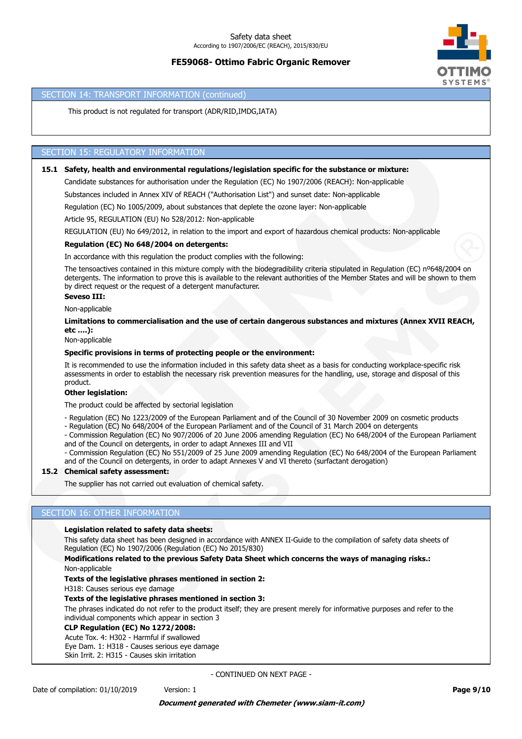

### SECTION 14: TRANSPORT INFORMATION (continued)

This product is not regulated for transport (ADR/RID,IMDG,IATA)

## SECTION 15: REGULATORY INFORMATION

#### **15.1 Safety, health and environmental regulations/legislation specific for the substance or mixture:**

Candidate substances for authorisation under the Regulation (EC) No 1907/2006 (REACH): Non-applicable

Substances included in Annex XIV of REACH ("Authorisation List") and sunset date: Non-applicable

Regulation (EC) No 1005/2009, about substances that deplete the ozone layer: Non-applicable

Article 95, REGULATION (EU) No 528/2012: Non-applicable

REGULATION (EU) No 649/2012, in relation to the import and export of hazardous chemical products: Non-applicable

### **Regulation (EC) No 648/2004 on detergents:**

In accordance with this regulation the product complies with the following:

The tensoactives contained in this mixture comply with the biodegradibility criteria stipulated in Regulation (EC) nº648/2004 on detergents. The information to prove this is available to the relevant authorities of the Member States and will be shown to them by direct request or the request of a detergent manufacturer.

## **Seveso III:**

Non-applicable

**Limitations to commercialisation and the use of certain dangerous substances and mixtures (Annex XVII REACH, etc ….):**

Non-applicable

### **Specific provisions in terms of protecting people or the environment:**

It is recommended to use the information included in this safety data sheet as a basis for conducting workplace-specific risk assessments in order to establish the necessary risk prevention measures for the handling, use, storage and disposal of this product.

#### **Other legislation:**

The product could be affected by sectorial legislation

- Regulation (EC) No 1223/2009 of the European Parliament and of the Council of 30 November 2009 on cosmetic products

- Regulation (EC) No 648/2004 of the European Parliament and of the Council of 31 March 2004 on detergents
- Commission Regulation (EC) No 907/2006 of 20 June 2006 amending Regulation (EC) No 648/2004 of the European Parliament and of the Council on detergents, in order to adapt Annexes III and VII

- Commission Regulation (EC) No 551/2009 of 25 June 2009 amending Regulation (EC) No 648/2004 of the European Parliament and of the Council on detergents, in order to adapt Annexes V and VI thereto (surfactant derogation)

## **15.2 Chemical safety assessment:**

The supplier has not carried out evaluation of chemical safety.

## SECTION 16: OTHER INFORMATION

#### **Legislation related to safety data sheets:**

This safety data sheet has been designed in accordance with ANNEX II-Guide to the compilation of safety data sheets of Regulation (EC) No 1907/2006 (Regulation (EC) No 2015/830)

**Modifications related to the previous Safety Data Sheet which concerns the ways of managing risks.:**

Non-applicable

#### **Texts of the legislative phrases mentioned in section 2:**

H318: Causes serious eye damage

#### **Texts of the legislative phrases mentioned in section 3:**

The phrases indicated do not refer to the product itself; they are present merely for informative purposes and refer to the individual components which appear in section 3

## **CLP Regulation (EC) No 1272/2008:**

Acute Tox. 4: H302 - Harmful if swallowed

Eye Dam. 1: H318 - Causes serious eye damage Skin Irrit. 2: H315 - Causes skin irritation